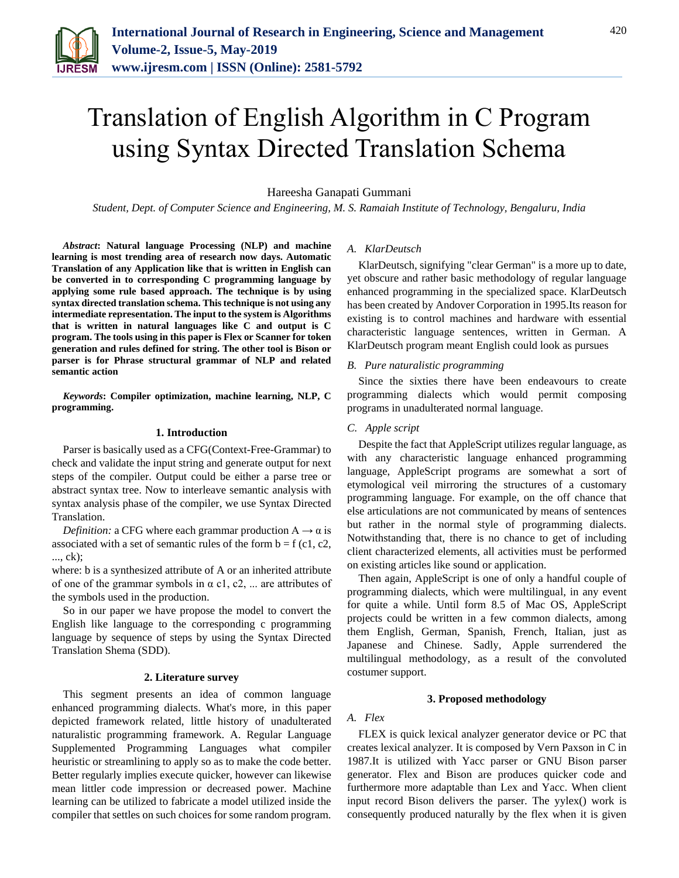

# Translation of English Algorithm in C Program using Syntax Directed Translation Schema

Hareesha Ganapati Gummani

*Student, Dept. of Computer Science and Engineering, M. S. Ramaiah Institute of Technology, Bengaluru, India*

*Abstract***: Natural language Processing (NLP) and machine learning is most trending area of research now days. Automatic Translation of any Application like that is written in English can be converted in to corresponding C programming language by applying some rule based approach. The technique is by using syntax directed translation schema. This technique is not using any intermediate representation. The input to the system is Algorithms that is written in natural languages like C and output is C program. The tools using in this paper is Flex or Scanner for token generation and rules defined for string. The other tool is Bison or parser is for Phrase structural grammar of NLP and related semantic action**

*Keywords***: Compiler optimization, machine learning, NLP, C programming.**

# **1. Introduction**

Parser is basically used as a CFG(Context-Free-Grammar) to check and validate the input string and generate output for next steps of the compiler. Output could be either a parse tree or abstract syntax tree. Now to interleave semantic analysis with syntax analysis phase of the compiler, we use Syntax Directed Translation.

*Definition:* a CFG where each grammar production  $A \rightarrow \alpha$  is associated with a set of semantic rules of the form  $b = f(c1, c2, c3)$ ..., ck);

where: b is a synthesized attribute of A or an inherited attribute of one of the grammar symbols in  $\alpha$  c1, c2, ... are attributes of the symbols used in the production.

So in our paper we have propose the model to convert the English like language to the corresponding c programming language by sequence of steps by using the Syntax Directed Translation Shema (SDD).

#### **2. Literature survey**

This segment presents an idea of common language enhanced programming dialects. What's more, in this paper depicted framework related, little history of unadulterated naturalistic programming framework. A. Regular Language Supplemented Programming Languages what compiler heuristic or streamlining to apply so as to make the code better. Better regularly implies execute quicker, however can likewise mean littler code impression or decreased power. Machine learning can be utilized to fabricate a model utilized inside the compiler that settles on such choices for some random program.

# *A. KlarDeutsch*

KlarDeutsch, signifying "clear German" is a more up to date, yet obscure and rather basic methodology of regular language enhanced programming in the specialized space. KlarDeutsch has been created by Andover Corporation in 1995.Its reason for existing is to control machines and hardware with essential characteristic language sentences, written in German. A KlarDeutsch program meant English could look as pursues

# *B. Pure naturalistic programming*

Since the sixties there have been endeavours to create programming dialects which would permit composing programs in unadulterated normal language.

# *C. Apple script*

Despite the fact that AppleScript utilizes regular language, as with any characteristic language enhanced programming language, AppleScript programs are somewhat a sort of etymological veil mirroring the structures of a customary programming language. For example, on the off chance that else articulations are not communicated by means of sentences but rather in the normal style of programming dialects. Notwithstanding that, there is no chance to get of including client characterized elements, all activities must be performed on existing articles like sound or application.

Then again, AppleScript is one of only a handful couple of programming dialects, which were multilingual, in any event for quite a while. Until form 8.5 of Mac OS, AppleScript projects could be written in a few common dialects, among them English, German, Spanish, French, Italian, just as Japanese and Chinese. Sadly, Apple surrendered the multilingual methodology, as a result of the convoluted costumer support.

#### **3. Proposed methodology**

# *A. Flex*

FLEX is quick lexical analyzer generator device or PC that creates lexical analyzer. It is composed by Vern Paxson in C in 1987.It is utilized with Yacc parser or GNU Bison parser generator. Flex and Bison are produces quicker code and furthermore more adaptable than Lex and Yacc. When client input record Bison delivers the parser. The yylex() work is consequently produced naturally by the flex when it is given